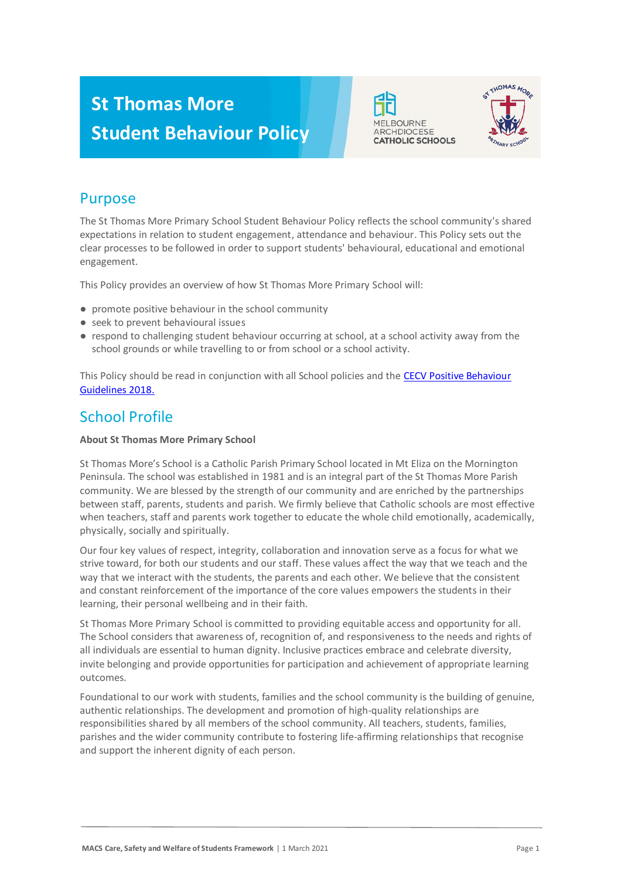# **St Thomas More Student Behaviour Policy**





### Purpose

The St Thomas More Primary School Student Behaviour Policy reflects the school community's shared expectations in relation to student engagement, attendance and behaviour. This Policy sets out the clear processes to be followed in order to support students' behavioural, educational and emotional engagement.

This Policy provides an overview of how St Thomas More Primary School will:

- promote positive behaviour in the school community
- seek to prevent behavioural issues
- respond to challenging student behaviour occurring at school, at a school activity away from the school grounds or while travelling to or from school or a school activity.

This Policy should be read in conjunction with all School policies and the CECV Positive Behaviour [Guidelines 2018.](https://www.cecv.catholic.edu.au/getmedia/bc1d235d-9a98-4bb4-b3ac-84b50fa7c639/CECV-Positive-Behaviour-Guidelines_FINAL2.aspx?ext=.pdf)

### School Profile

### **About St Thomas More Primary School**

St Thomas More's School is a Catholic Parish Primary School located in Mt Eliza on the Mornington Peninsula. The school was established in 1981 and is an integral part of the St Thomas More Parish community. We are blessed by the strength of our community and are enriched by the partnerships between staff, parents, students and parish. We firmly believe that Catholic schools are most effective when teachers, staff and parents work together to educate the whole child emotionally, academically, physically, socially and spiritually.

Our four key values of respect, integrity, collaboration and innovation serve as a focus for what we strive toward, for both our students and our staff. These values affect the way that we teach and the way that we interact with the students, the parents and each other. We believe that the consistent and constant reinforcement of the importance of the core values empowers the students in their learning, their personal wellbeing and in their faith.

St Thomas More Primary School is committed to providing equitable access and opportunity for all. The School considers that awareness of, recognition of, and responsiveness to the needs and rights of all individuals are essential to human dignity. Inclusive practices embrace and celebrate diversity, invite belonging and provide opportunities for participation and achievement of appropriate learning outcomes.

Foundational to our work with students, families and the school community is the building of genuine, authentic relationships. The development and promotion of high-quality relationships are responsibilities shared by all members of the school community. All teachers, students, families, parishes and the wider community contribute to fostering life-affirming relationships that recognise and support the inherent dignity of each person.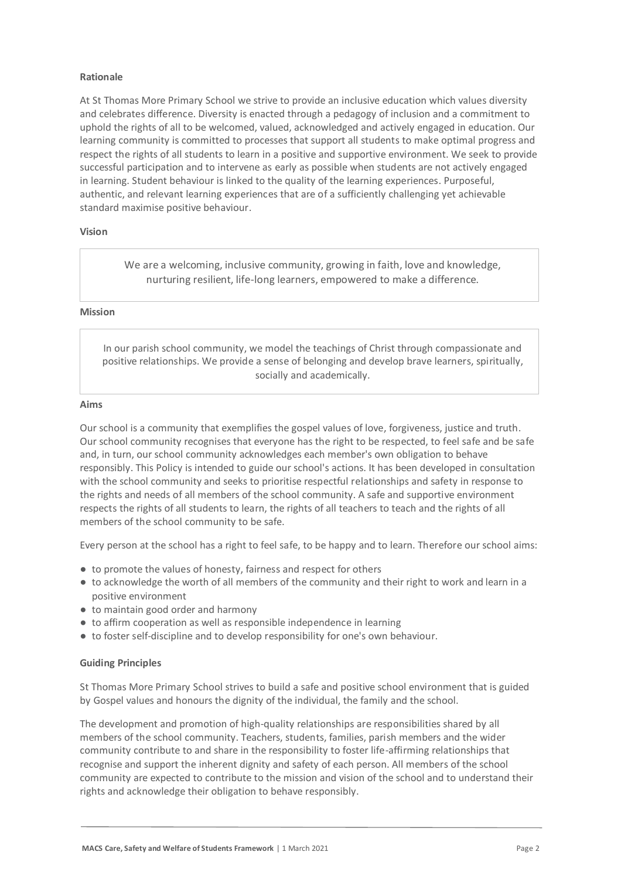#### **Rationale**

At St Thomas More Primary School we strive to provide an inclusive education which values diversity and celebrates difference. Diversity is enacted through a pedagogy of inclusion and a commitment to uphold the rights of all to be welcomed, valued, acknowledged and actively engaged in education. Our learning community is committed to processes that support all students to make optimal progress and respect the rights of all students to learn in a positive and supportive environment. We seek to provide successful participation and to intervene as early as possible when students are not actively engaged in learning. Student behaviour is linked to the quality of the learning experiences. Purposeful, authentic, and relevant learning experiences that are of a sufficiently challenging yet achievable standard maximise positive behaviour.

#### **Vision**

We are a welcoming, inclusive community, growing in faith, love and knowledge, nurturing resilient, life-long learners, empowered to make a difference.

#### **Mission**

In our parish school community, we model the teachings of Christ through compassionate and positive relationships. We provide a sense of belonging and develop brave learners, spiritually, socially and academically.

#### **Aims**

Our school is a community that exemplifies the gospel values of love, forgiveness, justice and truth. Our school community recognises that everyone has the right to be respected, to feel safe and be safe and, in turn, our school community acknowledges each member's own obligation to behave responsibly. This Policy is intended to guide our school's actions. It has been developed in consultation with the school community and seeks to prioritise respectful relationships and safety in response to the rights and needs of all members of the school community. A safe and supportive environment respects the rights of all students to learn, the rights of all teachers to teach and the rights of all members of the school community to be safe.

Every person at the school has a right to feel safe, to be happy and to learn. Therefore our school aims:

- to promote the values of honesty, fairness and respect for others
- to acknowledge the worth of all members of the community and their right to work and learn in a positive environment
- to maintain good order and harmony
- to affirm cooperation as well as responsible independence in learning
- to foster self-discipline and to develop responsibility for one's own behaviour.

#### **Guiding Principles**

St Thomas More Primary School strives to build a safe and positive school environment that is guided by Gospel values and honours the dignity of the individual, the family and the school.

The development and promotion of high-quality relationships are responsibilities shared by all members of the school community. Teachers, students, families, parish members and the wider community contribute to and share in the responsibility to foster life-affirming relationships that recognise and support the inherent dignity and safety of each person. All members of the school community are expected to contribute to the mission and vision of the school and to understand their rights and acknowledge their obligation to behave responsibly.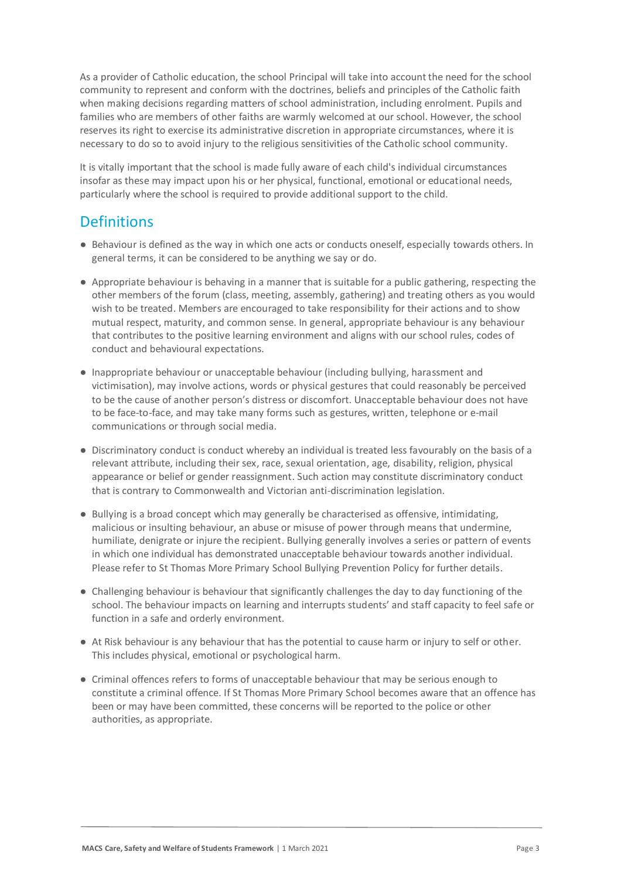As a provider of Catholic education, the school Principal will take into account the need for the school community to represent and conform with the doctrines, beliefs and principles of the Catholic faith when making decisions regarding matters of school administration, including enrolment. Pupils and families who are members of other faiths are warmly welcomed at our school. However, the school reserves its right to exercise its administrative discretion in appropriate circumstances, where it is necessary to do so to avoid injury to the religious sensitivities of the Catholic school community.

It is vitally important that the school is made fully aware of each child's individual circumstances insofar as these may impact upon his or her physical, functional, emotional or educational needs, particularly where the school is required to provide additional support to the child.

### **Definitions**

- Behaviour is defined as the way in which one acts or conducts oneself, especially towards others. In general terms, it can be considered to be anything we say or do.
- Appropriate behaviour is behaving in a manner that is suitable for a public gathering, respecting the other members of the forum (class, meeting, assembly, gathering) and treating others as you would wish to be treated. Members are encouraged to take responsibility for their actions and to show mutual respect, maturity, and common sense. In general, appropriate behaviour is any behaviour that contributes to the positive learning environment and aligns with our school rules, codes of conduct and behavioural expectations.
- Inappropriate behaviour or unacceptable behaviour (including bullying, harassment and victimisation), may involve actions, words or physical gestures that could reasonably be perceived to be the cause of another person's distress or discomfort. Unacceptable behaviour does not have to be face-to-face, and may take many forms such as gestures, written, telephone or e-mail communications or through social media.
- Discriminatory conduct is conduct whereby an individual is treated less favourably on the basis of a relevant attribute, including their sex, race, sexual orientation, age, disability, religion, physical appearance or belief or gender reassignment. Such action may constitute discriminatory conduct that is contrary to Commonwealth and Victorian anti-discrimination legislation.
- Bullying is a broad concept which may generally be characterised as offensive, intimidating, malicious or insulting behaviour, an abuse or misuse of power through means that undermine, humiliate, denigrate or injure the recipient. Bullying generally involves a series or pattern of events in which one individual has demonstrated unacceptable behaviour towards another individual. Please refer to St Thomas More Primary School Bullying Prevention Policy for further details.
- Challenging behaviour is behaviour that significantly challenges the day to day functioning of the school. The behaviour impacts on learning and interrupts students' and staff capacity to feel safe or function in a safe and orderly environment.
- At Risk behaviour is any behaviour that has the potential to cause harm or injury to self or other. This includes physical, emotional or psychological harm.
- Criminal offences refers to forms of unacceptable behaviour that may be serious enough to constitute a criminal offence. If St Thomas More Primary School becomes aware that an offence has been or may have been committed, these concerns will be reported to the police or other authorities, as appropriate.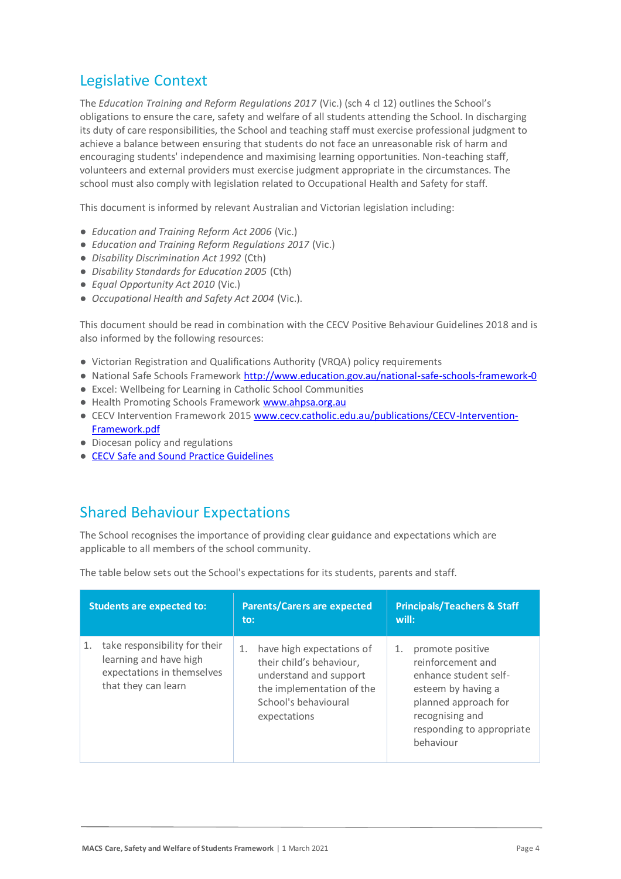## Legislative Context

The *Education Training and Reform Regulations 2017* (Vic.) (sch 4 cl 12) outlines the School's obligations to ensure the care, safety and welfare of all students attending the School. In discharging its duty of care responsibilities, the School and teaching staff must exercise professional judgment to achieve a balance between ensuring that students do not face an unreasonable risk of harm and encouraging students' independence and maximising learning opportunities. Non-teaching staff, volunteers and external providers must exercise judgment appropriate in the circumstances. The school must also comply with legislation related to Occupational Health and Safety for staff.

This document is informed by relevant Australian and Victorian legislation including:

- *Education and Training Reform Act 2006* (Vic.)
- *Education and Training Reform Regulations 2017* (Vic.)
- *Disability Discrimination Act 1992* (Cth)
- *Disability Standards for Education 2005* (Cth)
- *Equal Opportunity Act 2010* (Vic.)
- *Occupational Health and Safety Act 2004* (Vic.).

This document should be read in combination with the CECV Positive Behaviour Guidelines 2018 and is also informed by the following resources:

- Victorian Registration and Qualifications Authority (VRQA) policy requirements
- National Safe Schools Framework<http://www.education.gov.au/national-safe-schools-framework-0>
- Excel: Wellbeing for Learning in Catholic School Communities
- Health Promoting Schools Framewor[k www.ahpsa.org.au](http://www.ahpsa.org.au/)
- CECV Intervention Framework 201[5 www.cecv.catholic.edu.au/publications/CECV-Intervention-](http://www.cecv.catholic.edu.au/publications/CECV-Intervention-Framework.pdf)[Framework.pdf](http://www.cecv.catholic.edu.au/publications/CECV-Intervention-Framework.pdf)
- Diocesan policy and regulations
- [CECV Safe and Sound Practice Guidelines](https://www.cecv.catholic.edu.au/getmedia/bad5e328-b5f9-4742-a66c-0c7f20ae21ff/Safe-and-Sound-Practice-Guidelines.aspx)

### Shared Behaviour Expectations

The School recognises the importance of providing clear guidance and expectations which are applicable to all members of the school community.

The table below sets out the School's expectations for its students, parents and staff.

| <b>Students are expected to:</b>                                                                                   | <b>Parents/Carers are expected</b><br>to:                                                                                                                  | <b>Principals/Teachers &amp; Staff</b><br>will:                                                                                                                                 |
|--------------------------------------------------------------------------------------------------------------------|------------------------------------------------------------------------------------------------------------------------------------------------------------|---------------------------------------------------------------------------------------------------------------------------------------------------------------------------------|
| take responsibility for their<br>1.<br>learning and have high<br>expectations in themselves<br>that they can learn | have high expectations of<br>1.<br>their child's behaviour,<br>understand and support<br>the implementation of the<br>School's behavioural<br>expectations | promote positive<br>1.<br>reinforcement and<br>enhance student self-<br>esteem by having a<br>planned approach for<br>recognising and<br>responding to appropriate<br>behaviour |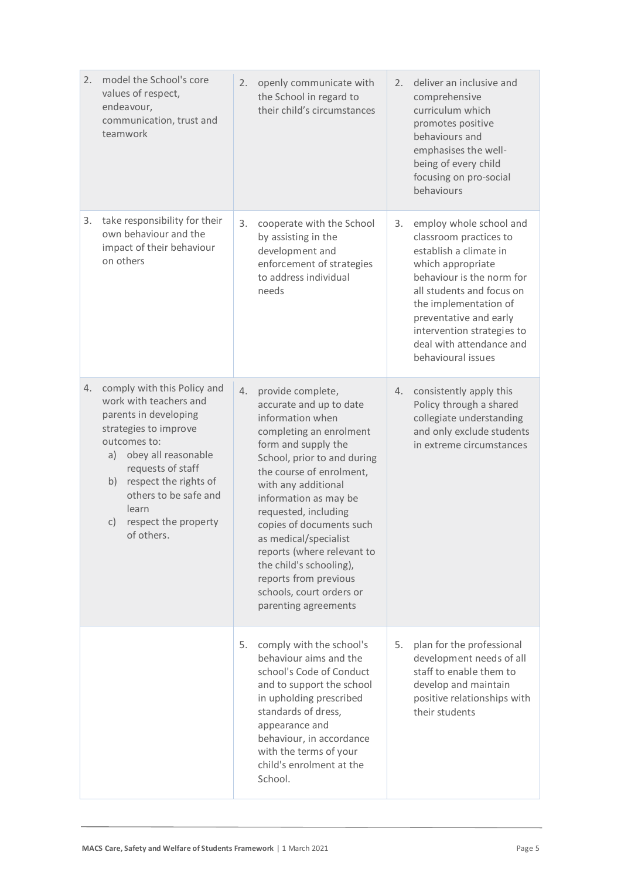| 2. | model the School's core<br>values of respect,<br>endeavour,<br>communication, trust and<br>teamwork                                                                                                                                                                                              | 2. | openly communicate with<br>the School in regard to<br>their child's circumstances                                                                                                                                                                                                                                                                                                                                                                | 2. | deliver an inclusive and<br>comprehensive<br>curriculum which<br>promotes positive<br>behaviours and<br>emphasises the well-<br>being of every child<br>focusing on pro-social<br>behaviours                                                                                                  |
|----|--------------------------------------------------------------------------------------------------------------------------------------------------------------------------------------------------------------------------------------------------------------------------------------------------|----|--------------------------------------------------------------------------------------------------------------------------------------------------------------------------------------------------------------------------------------------------------------------------------------------------------------------------------------------------------------------------------------------------------------------------------------------------|----|-----------------------------------------------------------------------------------------------------------------------------------------------------------------------------------------------------------------------------------------------------------------------------------------------|
| 3. | take responsibility for their<br>own behaviour and the<br>impact of their behaviour<br>on others                                                                                                                                                                                                 | 3. | cooperate with the School<br>by assisting in the<br>development and<br>enforcement of strategies<br>to address individual<br>needs                                                                                                                                                                                                                                                                                                               | 3. | employ whole school and<br>classroom practices to<br>establish a climate in<br>which appropriate<br>behaviour is the norm for<br>all students and focus on<br>the implementation of<br>preventative and early<br>intervention strategies to<br>deal with attendance and<br>behavioural issues |
| 4. | comply with this Policy and<br>work with teachers and<br>parents in developing<br>strategies to improve<br>outcomes to:<br>obey all reasonable<br>a)<br>requests of staff<br>respect the rights of<br>b)<br>others to be safe and<br>learn<br>respect the property<br>$\mathsf{C}$<br>of others. | 4. | provide complete,<br>accurate and up to date<br>information when<br>completing an enrolment<br>form and supply the<br>School, prior to and during<br>the course of enrolment,<br>with any additional<br>information as may be<br>requested, including<br>copies of documents such<br>as medical/specialist<br>reports (where relevant to<br>the child's schooling),<br>reports from previous<br>schools, court orders or<br>parenting agreements | 4. | consistently apply this<br>Policy through a shared<br>collegiate understanding<br>and only exclude students<br>in extreme circumstances                                                                                                                                                       |
|    |                                                                                                                                                                                                                                                                                                  | 5. | comply with the school's<br>behaviour aims and the<br>school's Code of Conduct<br>and to support the school<br>in upholding prescribed<br>standards of dress,<br>appearance and<br>behaviour, in accordance<br>with the terms of your<br>child's enrolment at the<br>School.                                                                                                                                                                     | 5. | plan for the professional<br>development needs of all<br>staff to enable them to<br>develop and maintain<br>positive relationships with<br>their students                                                                                                                                     |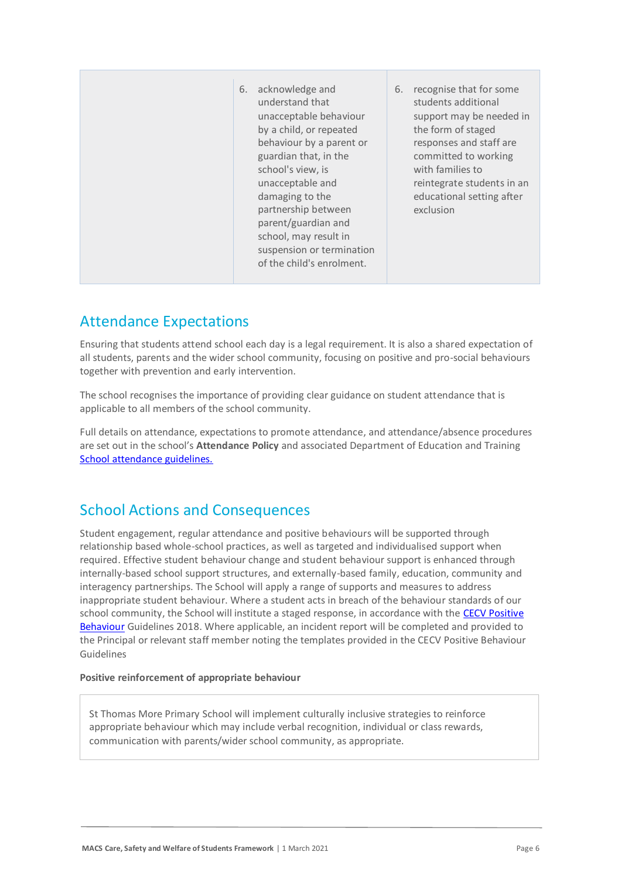| acknowledge and<br>6.<br>understand that<br>school's view, is<br>unacceptable and<br>damaging to the | recognise that for some<br>6.<br>students additional<br>unacceptable behaviour<br>support may be needed in<br>by a child, or repeated<br>the form of staged<br>behaviour by a parent or<br>responses and staff are<br>guardian that, in the<br>committed to working<br>with families to<br>reintegrate students in an<br>educational setting after<br>partnership between<br>exclusion<br>parent/guardian and<br>school, may result in<br>suspension or termination<br>of the child's enrolment. |
|------------------------------------------------------------------------------------------------------|--------------------------------------------------------------------------------------------------------------------------------------------------------------------------------------------------------------------------------------------------------------------------------------------------------------------------------------------------------------------------------------------------------------------------------------------------------------------------------------------------|
|------------------------------------------------------------------------------------------------------|--------------------------------------------------------------------------------------------------------------------------------------------------------------------------------------------------------------------------------------------------------------------------------------------------------------------------------------------------------------------------------------------------------------------------------------------------------------------------------------------------|

### Attendance Expectations

Ensuring that students attend school each day is a legal requirement. It is also a shared expectation of all students, parents and the wider school community, focusing on positive and pro-social behaviours together with prevention and early intervention.

The school recognises the importance of providing clear guidance on student attendance that is applicable to all members of the school community.

Full details on attendance, expectations to promote attendance, and attendance/absence procedures are set out in the school's **Attendance Policy** and associated Department of Education and Training [School attendance guidelines.](https://www2.education.vic.gov.au/pal/attendance/guidance)

### School Actions and Consequences

Student engagement, regular attendance and positive behaviours will be supported through relationship based whole-school practices, as well as targeted and individualised support when required. Effective student behaviour change and student behaviour support is enhanced through internally-based school support structures, and externally-based family, education, community and interagency partnerships. The School will apply a range of supports and measures to address inappropriate student behaviour. Where a student acts in breach of the behaviour standards of our school community, the School will institute a staged response, in accordance with the [CECV Positive](https://www.cecv.catholic.edu.au/getmedia/bc1d235d-9a98-4bb4-b3ac-84b50fa7c639/CECV-Positive-Behaviour-Guidelines_FINAL2.aspx?ext=.pdf)  [Behaviour](https://www.cecv.catholic.edu.au/getmedia/bc1d235d-9a98-4bb4-b3ac-84b50fa7c639/CECV-Positive-Behaviour-Guidelines_FINAL2.aspx?ext=.pdf) Guidelines 2018. Where applicable, an incident report will be completed and provided to the Principal or relevant staff member noting the templates provided in the CECV Positive Behaviour Guidelines

### **Positive reinforcement of appropriate behaviour**

St Thomas More Primary School will implement culturally inclusive strategies to reinforce appropriate behaviour which may include verbal recognition, individual or class rewards, communication with parents/wider school community, as appropriate.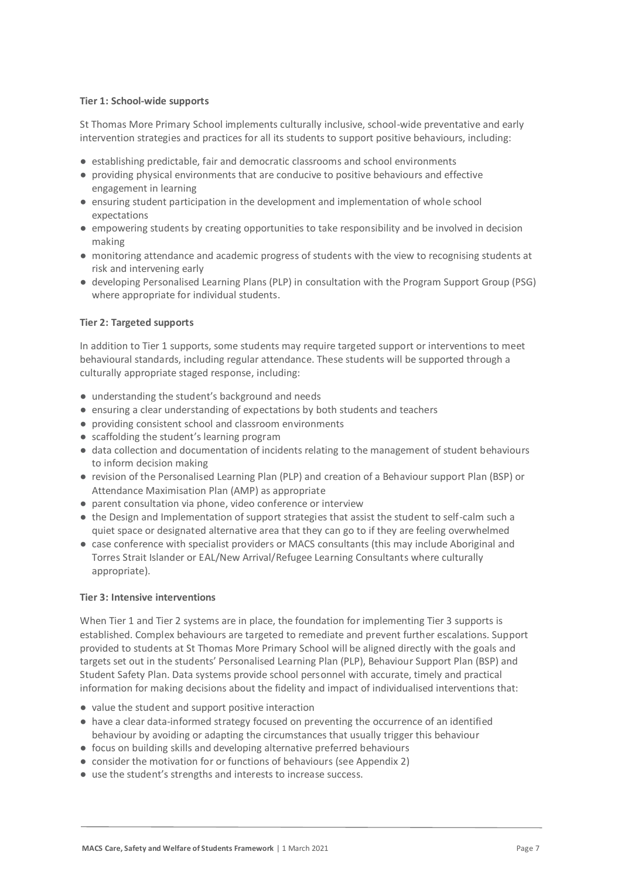### **Tier 1: School-wide supports**

St Thomas More Primary School implements culturally inclusive, school-wide preventative and early intervention strategies and practices for all its students to support positive behaviours, including:

- establishing predictable, fair and democratic classrooms and school environments
- providing physical environments that are conducive to positive behaviours and effective engagement in learning
- ensuring student participation in the development and implementation of whole school expectations
- empowering students by creating opportunities to take responsibility and be involved in decision making
- monitoring attendance and academic progress of students with the view to recognising students at risk and intervening early
- developing Personalised Learning Plans (PLP) in consultation with the Program Support Group (PSG) where appropriate for individual students.

### **Tier 2: Targeted supports**

In addition to Tier 1 supports, some students may require targeted support or interventions to meet behavioural standards, including regular attendance. These students will be supported through a culturally appropriate staged response, including:

- understanding the student's background and needs
- ensuring a clear understanding of expectations by both students and teachers
- providing consistent school and classroom environments
- scaffolding the student's learning program
- data collection and documentation of incidents relating to the management of student behaviours to inform decision making
- revision of the Personalised Learning Plan (PLP) and creation of a Behaviour support Plan (BSP) or Attendance Maximisation Plan (AMP) as appropriate
- parent consultation via phone, video conference or interview
- the Design and Implementation of support strategies that assist the student to self-calm such a quiet space or designated alternative area that they can go to if they are feeling overwhelmed
- case conference with specialist providers or MACS consultants (this may include Aboriginal and Torres Strait Islander or EAL/New Arrival/Refugee Learning Consultants where culturally appropriate).

#### **Tier 3: Intensive interventions**

When Tier 1 and Tier 2 systems are in place, the foundation for implementing Tier 3 supports is established. Complex behaviours are targeted to remediate and prevent further escalations. Support provided to students at St Thomas More Primary School will be aligned directly with the goals and targets set out in the students' Personalised Learning Plan (PLP), Behaviour Support Plan (BSP) and Student Safety Plan. Data systems provide school personnel with accurate, timely and practical information for making decisions about the fidelity and impact of individualised interventions that:

- value the student and support positive interaction
- have a clear data-informed strategy focused on preventing the occurrence of an identified behaviour by avoiding or adapting the circumstances that usually trigger this behaviour
- focus on building skills and developing alternative preferred behaviours
- consider the motivation for or functions of behaviours (see Appendix 2)
- use the student's strengths and interests to increase success.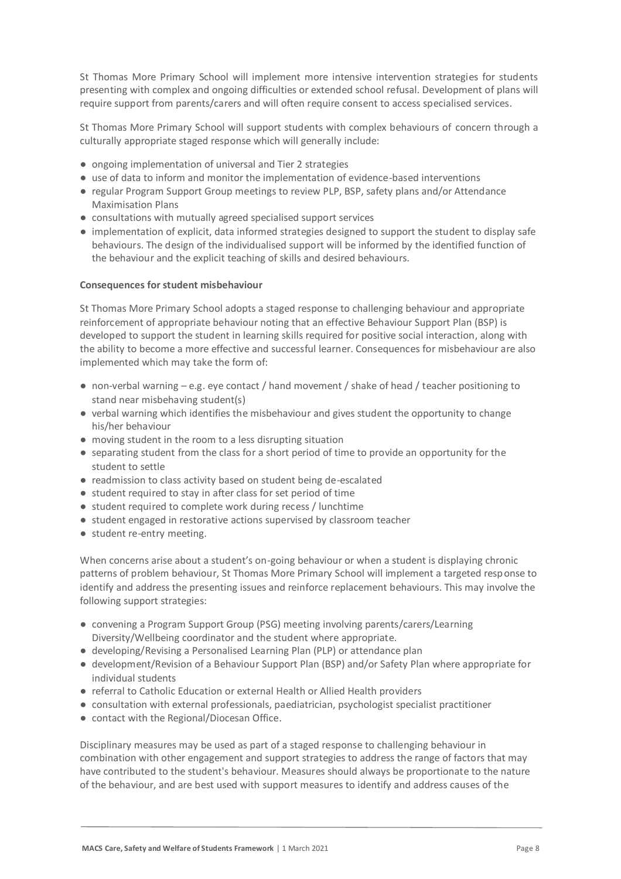St Thomas More Primary School will implement more intensive intervention strategies for students presenting with complex and ongoing difficulties or extended school refusal. Development of plans will require support from parents/carers and will often require consent to access specialised services.

St Thomas More Primary School will support students with complex behaviours of concern through a culturally appropriate staged response which will generally include:

- ongoing implementation of universal and Tier 2 strategies
- use of data to inform and monitor the implementation of evidence-based interventions
- regular Program Support Group meetings to review PLP, BSP, safety plans and/or Attendance Maximisation Plans
- consultations with mutually agreed specialised support services
- implementation of explicit, data informed strategies designed to support the student to display safe behaviours. The design of the individualised support will be informed by the identified function of the behaviour and the explicit teaching of skills and desired behaviours.

#### **Consequences for student misbehaviour**

St Thomas More Primary School adopts a staged response to challenging behaviour and appropriate reinforcement of appropriate behaviour noting that an effective Behaviour Support Plan (BSP) is developed to support the student in learning skills required for positive social interaction, along with the ability to become a more effective and successful learner. Consequences for misbehaviour are also implemented which may take the form of:

- $\bullet$  non-verbal warning  $-e.g.$  eye contact / hand movement / shake of head / teacher positioning to stand near misbehaving student(s)
- verbal warning which identifies the misbehaviour and gives student the opportunity to change his/her behaviour
- moving student in the room to a less disrupting situation
- separating student from the class for a short period of time to provide an opportunity for the student to settle
- readmission to class activity based on student being de-escalated
- student required to stay in after class for set period of time
- student required to complete work during recess / lunchtime
- student engaged in restorative actions supervised by classroom teacher
- student re-entry meeting.

When concerns arise about a student's on-going behaviour or when a student is displaying chronic patterns of problem behaviour, St Thomas More Primary School will implement a targeted response to identify and address the presenting issues and reinforce replacement behaviours. This may involve the following support strategies:

- convening a Program Support Group (PSG) meeting involving parents/carers/Learning Diversity/Wellbeing coordinator and the student where appropriate.
- developing/Revising a Personalised Learning Plan (PLP) or attendance plan
- development/Revision of a Behaviour Support Plan (BSP) and/or Safety Plan where appropriate for individual students
- referral to Catholic Education or external Health or Allied Health providers
- consultation with external professionals, paediatrician, psychologist specialist practitioner
- contact with the Regional/Diocesan Office.

Disciplinary measures may be used as part of a staged response to challenging behaviour in combination with other engagement and support strategies to address the range of factors that may have contributed to the student's behaviour. Measures should always be proportionate to the nature of the behaviour, and are best used with support measures to identify and address causes of the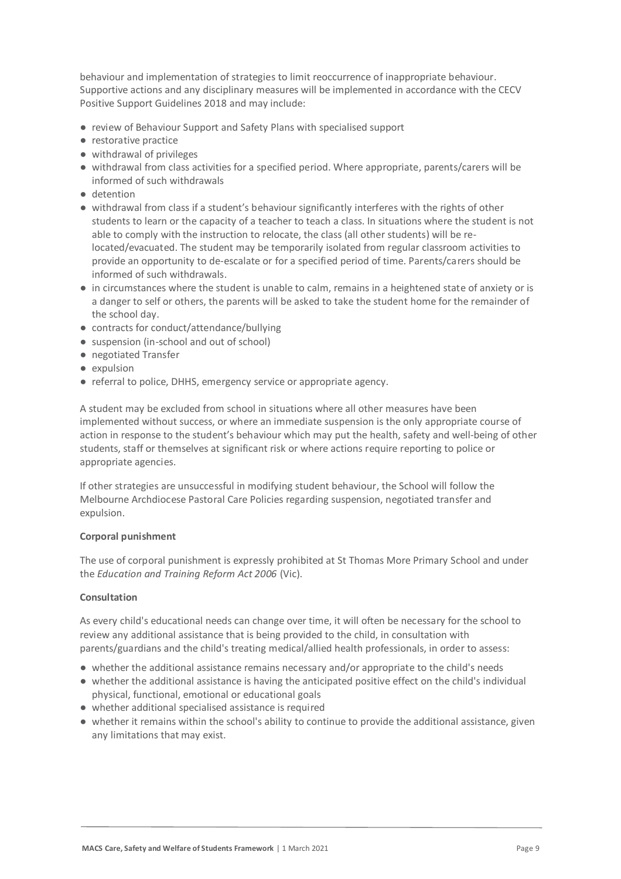behaviour and implementation of strategies to limit reoccurrence of inappropriate behaviour. Supportive actions and any disciplinary measures will be implemented in accordance with the CECV Positive Support Guidelines 2018 and may include:

- review of Behaviour Support and Safety Plans with specialised support
- restorative practice
- withdrawal of privileges
- withdrawal from class activities for a specified period. Where appropriate, parents/carers will be informed of such withdrawals
- detention
- withdrawal from class if a student's behaviour significantly interferes with the rights of other students to learn or the capacity of a teacher to teach a class. In situations where the student is not able to comply with the instruction to relocate, the class (all other students) will be relocated/evacuated. The student may be temporarily isolated from regular classroom activities to provide an opportunity to de-escalate or for a specified period of time. Parents/carers should be informed of such withdrawals.
- in circumstances where the student is unable to calm, remains in a heightened state of anxiety or is a danger to self or others, the parents will be asked to take the student home for the remainder of the school day.
- contracts for conduct/attendance/bullying
- suspension (in-school and out of school)
- negotiated Transfer
- expulsion
- referral to police, DHHS, emergency service or appropriate agency.

A student may be excluded from school in situations where all other measures have been implemented without success, or where an immediate suspension is the only appropriate course of action in response to the student's behaviour which may put the health, safety and well-being of other students, staff or themselves at significant risk or where actions require reporting to police or appropriate agencies.

If other strategies are unsuccessful in modifying student behaviour, the School will follow the Melbourne Archdiocese Pastoral Care Policies regarding suspension, negotiated transfer and expulsion.

### **Corporal punishment**

The use of corporal punishment is expressly prohibited at St Thomas More Primary School and under the *Education and Training Reform Act 2006* (Vic).

### **Consultation**

As every child's educational needs can change over time, it will often be necessary for the school to review any additional assistance that is being provided to the child, in consultation with parents/guardians and the child's treating medical/allied health professionals, in order to assess:

- whether the additional assistance remains necessary and/or appropriate to the child's needs
- whether the additional assistance is having the anticipated positive effect on the child's individual physical, functional, emotional or educational goals
- whether additional specialised assistance is required
- whether it remains within the school's ability to continue to provide the additional assistance, given any limitations that may exist.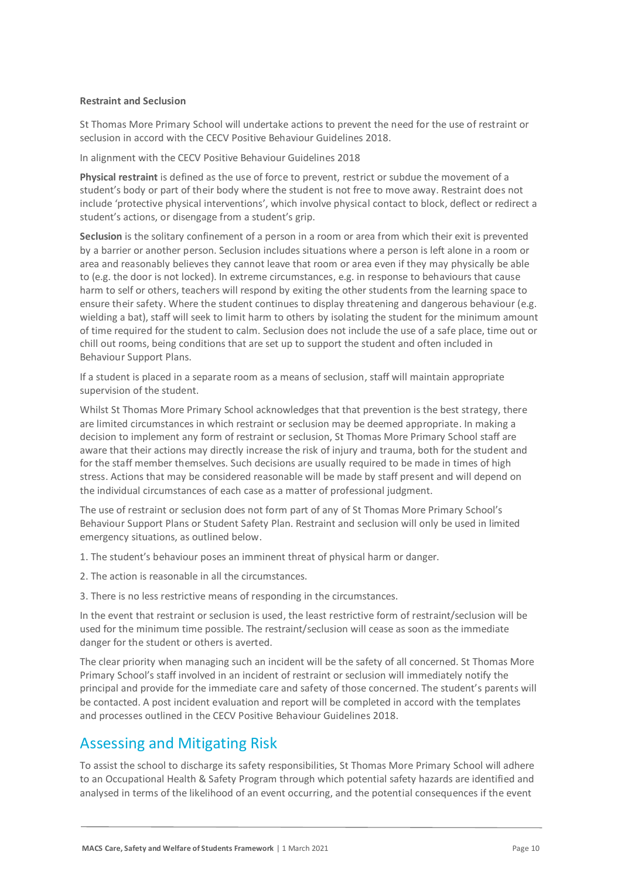#### **Restraint and Seclusion**

St Thomas More Primary School will undertake actions to prevent the need for the use of restraint or seclusion in accord with the CECV Positive Behaviour Guidelines 2018.

In alignment with the CECV Positive Behaviour Guidelines 2018

**Physical restraint** is defined as the use of force to prevent, restrict or subdue the movement of a student's body or part of their body where the student is not free to move away. Restraint does not include 'protective physical interventions', which involve physical contact to block, deflect or redirect a student's actions, or disengage from a student's grip.

**Seclusion** is the solitary confinement of a person in a room or area from which their exit is prevented by a barrier or another person. Seclusion includes situations where a person is left alone in a room or area and reasonably believes they cannot leave that room or area even if they may physically be able to (e.g. the door is not locked). In extreme circumstances, e.g. in response to behaviours that cause harm to self or others, teachers will respond by exiting the other students from the learning space to ensure their safety. Where the student continues to display threatening and dangerous behaviour (e.g. wielding a bat), staff will seek to limit harm to others by isolating the student for the minimum amount of time required for the student to calm. Seclusion does not include the use of a safe place, time out or chill out rooms, being conditions that are set up to support the student and often included in Behaviour Support Plans.

If a student is placed in a separate room as a means of seclusion, staff will maintain appropriate supervision of the student.

Whilst St Thomas More Primary School acknowledges that that prevention is the best strategy, there are limited circumstances in which restraint or seclusion may be deemed appropriate. In making a decision to implement any form of restraint or seclusion, St Thomas More Primary School staff are aware that their actions may directly increase the risk of injury and trauma, both for the student and for the staff member themselves. Such decisions are usually required to be made in times of high stress. Actions that may be considered reasonable will be made by staff present and will depend on the individual circumstances of each case as a matter of professional judgment.

The use of restraint or seclusion does not form part of any of St Thomas More Primary School's Behaviour Support Plans or Student Safety Plan. Restraint and seclusion will only be used in limited emergency situations, as outlined below.

- 1. The student's behaviour poses an imminent threat of physical harm or danger.
- 2. The action is reasonable in all the circumstances.
- 3. There is no less restrictive means of responding in the circumstances.

In the event that restraint or seclusion is used, the least restrictive form of restraint/seclusion will be used for the minimum time possible. The restraint/seclusion will cease as soon as the immediate danger for the student or others is averted.

The clear priority when managing such an incident will be the safety of all concerned. St Thomas More Primary School's staff involved in an incident of restraint or seclusion will immediately notify the principal and provide for the immediate care and safety of those concerned. The student's parents will be contacted. A post incident evaluation and report will be completed in accord with the templates and processes outlined in the CECV Positive Behaviour Guidelines 2018.

### Assessing and Mitigating Risk

To assist the school to discharge its safety responsibilities, St Thomas More Primary School will adhere to an Occupational Health & Safety Program through which potential safety hazards are identified and analysed in terms of the likelihood of an event occurring, and the potential consequences if the event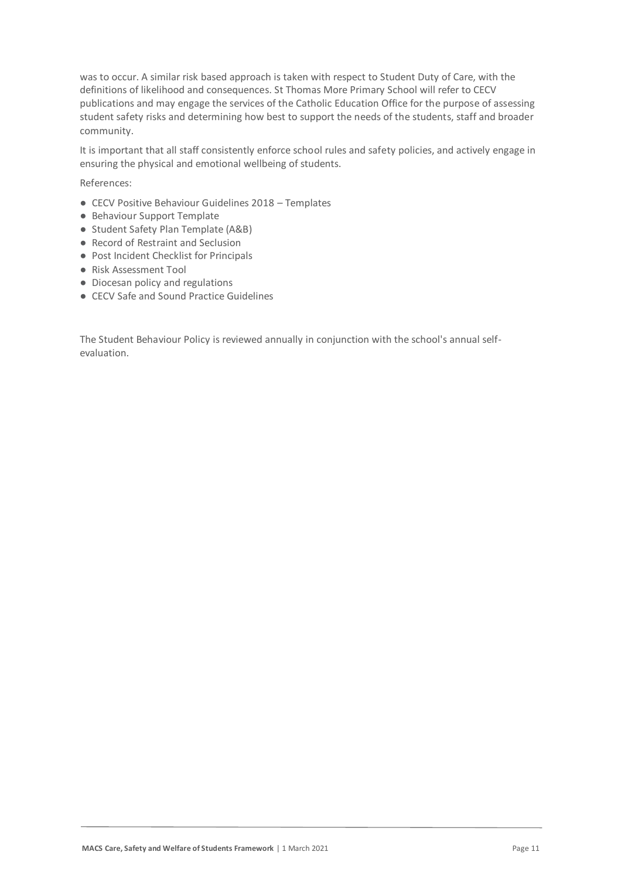was to occur. A similar risk based approach is taken with respect to Student Duty of Care, with the definitions of likelihood and consequences. St Thomas More Primary School will refer to CECV publications and may engage the services of the Catholic Education Office for the purpose of assessing student safety risks and determining how best to support the needs of the students, staff and broader community.

It is important that all staff consistently enforce school rules and safety policies, and actively engage in ensuring the physical and emotional wellbeing of students.

References:

- CECV Positive Behaviour Guidelines 2018 Templates
- Behaviour Support Template
- Student Safety Plan Template (A&B)
- Record of Restraint and Seclusion
- Post Incident Checklist for Principals
- Risk Assessment Tool
- Diocesan policy and regulations
- CECV Safe and Sound Practice Guidelines

The Student Behaviour Policy is reviewed annually in conjunction with the school's annual selfevaluation.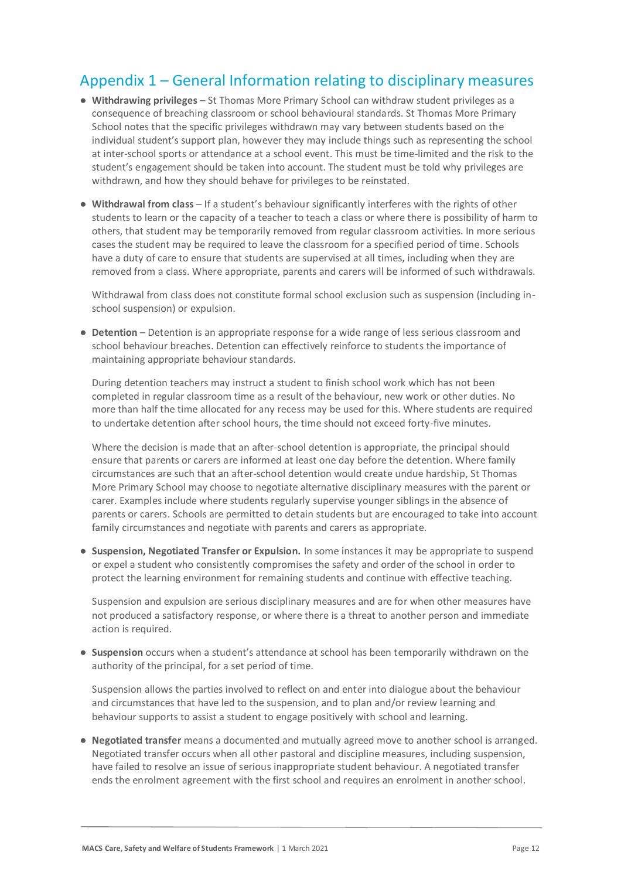### Appendix 1 – General Information relating to disciplinary measures

- **Withdrawing privileges** St Thomas More Primary School can withdraw student privileges as a consequence of breaching classroom or school behavioural standards. St Thomas More Primary School notes that the specific privileges withdrawn may vary between students based on the individual student's support plan, however they may include things such as representing the school at inter-school sports or attendance at a school event. This must be time-limited and the risk to the student's engagement should be taken into account. The student must be told why privileges are withdrawn, and how they should behave for privileges to be reinstated.
- **Withdrawal from class** If a student's behaviour significantly interferes with the rights of other students to learn or the capacity of a teacher to teach a class or where there is possibility of harm to others, that student may be temporarily removed from regular classroom activities. In more serious cases the student may be required to leave the classroom for a specified period of time. Schools have a duty of care to ensure that students are supervised at all times, including when they are removed from a class. Where appropriate, parents and carers will be informed of such withdrawals.

Withdrawal from class does not constitute formal school exclusion such as suspension (including inschool suspension) or expulsion.

● **Detention** – Detention is an appropriate response for a wide range of less serious classroom and school behaviour breaches. Detention can effectively reinforce to students the importance of maintaining appropriate behaviour standards.

During detention teachers may instruct a student to finish school work which has not been completed in regular classroom time as a result of the behaviour, new work or other duties. No more than half the time allocated for any recess may be used for this. Where students are required to undertake detention after school hours, the time should not exceed forty-five minutes.

Where the decision is made that an after-school detention is appropriate, the principal should ensure that parents or carers are informed at least one day before the detention. Where family circumstances are such that an after-school detention would create undue hardship, St Thomas More Primary School may choose to negotiate alternative disciplinary measures with the parent or carer. Examples include where students regularly supervise younger siblings in the absence of parents or carers. Schools are permitted to detain students but are encouraged to take into account family circumstances and negotiate with parents and carers as appropriate.

● **Suspension, Negotiated Transfer or Expulsion.** In some instances it may be appropriate to suspend or expel a student who consistently compromises the safety and order of the school in order to protect the learning environment for remaining students and continue with effective teaching.

Suspension and expulsion are serious disciplinary measures and are for when other measures have not produced a satisfactory response, or where there is a threat to another person and immediate action is required.

● **Suspension** occurs when a student's attendance at school has been temporarily withdrawn on the authority of the principal, for a set period of time.

Suspension allows the parties involved to reflect on and enter into dialogue about the behaviour and circumstances that have led to the suspension, and to plan and/or review learning and behaviour supports to assist a student to engage positively with school and learning.

● **Negotiated transfer** means a documented and mutually agreed move to another school is arranged. Negotiated transfer occurs when all other pastoral and discipline measures, including suspension, have failed to resolve an issue of serious inappropriate student behaviour. A negotiated transfer ends the enrolment agreement with the first school and requires an enrolment in another school.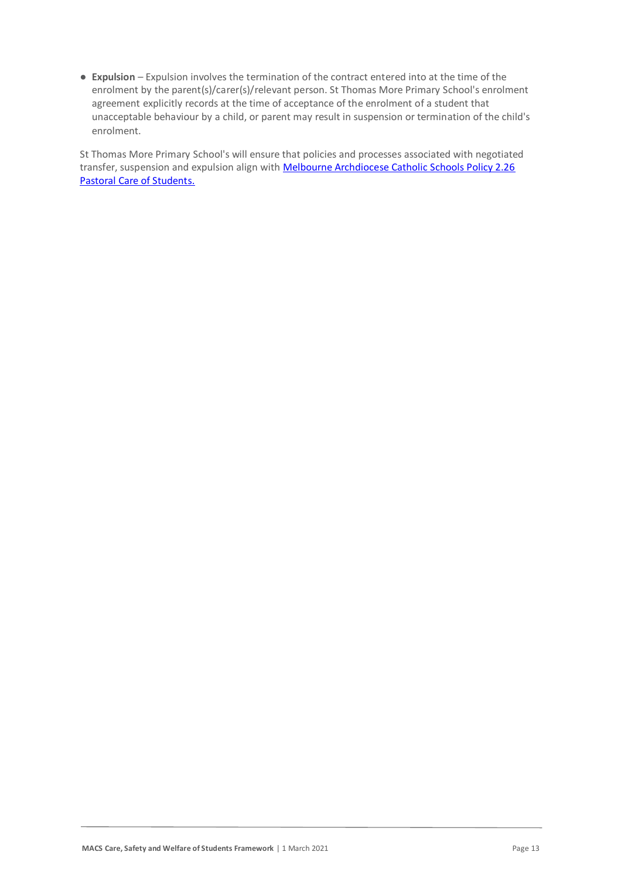● **Expulsion** – Expulsion involves the termination of the contract entered into at the time of the enrolment by the parent(s)/carer(s)/relevant person. St Thomas More Primary School's enrolment agreement explicitly records at the time of acceptance of the enrolment of a student that unacceptable behaviour by a child, or parent may result in suspension or termination of the child's enrolment.

St Thomas More Primary School's will ensure that policies and processes associated with negotiated transfer, suspension and expulsion align with **Melbourne Archdiocese Catholic Schools Policy 2.26** [Pastoral Care of Students.](https://www.macs.vic.edu.au/About-Us/Policies/Pastoral-Care-of-Students.aspx)